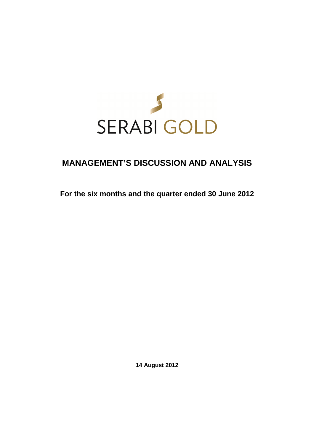

# **MANAGEMENT'S DISCUSSION AND ANALYSIS**

**For the six months and the quarter ended 30 June 2012** 

**14 August 2012**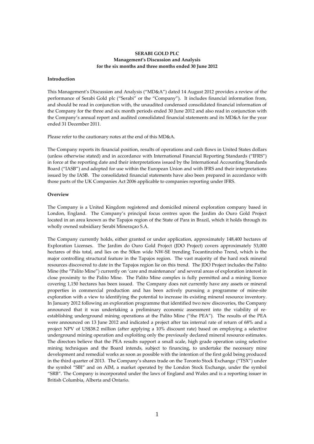# **SERABI GOLD PLC Management's Discussion and Analysis for the six months and three months ended 30 June 2012**

# **Introduction**

This Management's Discussion and Analysis ("MD&A") dated 14 August 2012 provides a review of the performance of Serabi Gold plc ("Serabi" or the "Company"). It includes financial information from, and should be read in conjunction with, the unaudited condensed consolidated financial information of the Company for the three and six month periods ended 30 June 2012 and also read in conjunction with the Company's annual report and audited consolidated financial statements and its MD&A for the year ended 31 December 2011.

Please refer to the cautionary notes at the end of this MD&A.

The Company reports its financial position, results of operations and cash flows in United States dollars (unless otherwise stated) and in accordance with International Financial Reporting Standards ("IFRS") in force at the reporting date and their interpretations issued by the International Accounting Standards Board ("IASB") and adopted for use within the European Union and with IFRS and their interpretations issued by the IASB. The consolidated financial statements have also been prepared in accordance with those parts of the UK Companies Act 2006 applicable to companies reporting under IFRS.

#### **Overview**

The Company is a United Kingdom registered and domiciled mineral exploration company based in London, England. The Company's principal focus centres upon the Jardim do Ouro Gold Project located in an area known as the Tapajos region of the State of Para in Brazil, which it holds through its wholly owned subsidiary Serabi Mineraçao S.A.

The Company currently holds, either granted or under application, approximately 148,400 hectares of Exploration Licenses. The Jardim do Ouro Gold Project (JDO Project) covers approximately 53,000 hectares of this total, and lies on the 50km wide NW-SE trending Tocantinzinho Trend, which is the major controlling structural feature in the Tapajos region. The vast majority of the hard rock mineral resources discovered to date in the Tapajos region lie on this trend. The JDO Project includes the Palito Mine (the "Palito Mine") currently on 'care and maintenance' and several areas of exploration interest in close proximity to the Palito Mine. The Palito Mine complex is fully permitted and a mining licence covering 1,150 hectares has been issued. The Company does not currently have any assets or mineral properties in commercial production and has been actively pursuing a programme of mine-site exploration with a view to identifying the potential to increase its existing mineral resource inventory. In January 2012 following an exploration programme that identified two new discoveries, the Company announced that it was undertaking a preliminary economic assessment into the viability of reestablishing underground mining operations at the Palito Mine ("the PEA"). The results of the PEA were announced on 13 June 2012 and indicated a project after tax internal rate of return of 68% and a project NPV of US\$38.2 million (after applying a 10% discount rate) based on employing a selective underground mining operation and exploiting only the previously declared mineral resource estimates. The directors believe that the PEA results support a small scale, high grade operation using selective mining techniques and the Board intends, subject to financing, to undertake the necessary mine development and remedial works as soon as possible with the intention of the first gold being produced in the third quarter of 2013. The Company's shares trade on the Toronto Stock Exchange ("TSX") under the symbol "SBI" and on AIM, a market operated by the London Stock Exchange, under the symbol "SRB". The Company is incorporated under the laws of England and Wales and is a reporting issuer in British Columbia, Alberta and Ontario.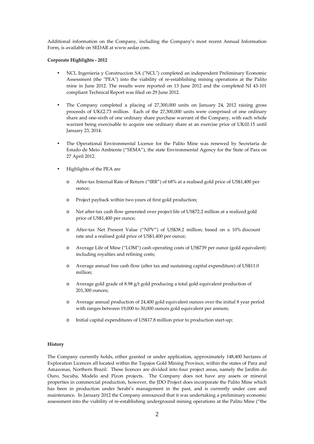Additional information on the Company, including the Company's most recent Annual Information Form, is available on SEDAR at www.sedar.com.

# **Corporate Highlights - 2012**

- NCL Ingenieria y Construccion SA ("NCL") completed an independent Preliminary Economic Assessment (the "PEA") into the viability of re-establishing mining operations at the Palito mine in June 2012. The results were reported on 13 June 2012 and the completed NI 43-101 compliant Technical Report was filed on 29 June 2012.
- The Company completed a placing of 27,300,000 units on January 24, 2012 raising gross proceeds of UK£2.73 million. Each of the 27,300,000 units were comprised of one ordinary share and one-sixth of one ordinary share purchase warrant of the Company, with each whole warrant being exercisable to acquire one ordinary share at an exercise price of UK£0.15 until January 23, 2014.
- The Operational Environmental Licence for the Palito Mine was renewed by Secretaria de Estado de Meio Ambiente ("SEMA"), the state Environmental Agency for the State of Para on 27 April 2012.
- Highlights of the PEA are
	- After-tax Internal Rate of Return ("IRR") of 68% at a realised gold price of US\$1,400 per ounce;
	- o Project payback within two years of first gold production;
	- o Net after-tax cash flow generated over project life of US\$72.2 million at a realized gold price of US\$1,400 per ounce;
	- o After-tax Net Present Value ("NPV") of US\$38.2 million; based on a 10% discount rate and a realised gold price of US\$1,400 per ounce;
	- o Average Life of Mine ("LOM") cash operating costs of US\$739 per ounce (gold equivalent) including royalties and refining costs;
	- o Average annual free cash flow (after tax and sustaining capital expenditure) of US\$11.0 million;
	- o Average gold grade of 8.98 g/t gold producing a total gold equivalent production of 201,300 ounces;
	- o Average annual production of 24,400 gold equivalent ounces over the initial 8 year period with ranges between 19,000 to 30,000 ounces gold equivalent per annum;
	- o Initial capital expenditures of US\$17.8 million prior to production start-up;

#### **History**

The Company currently holds, either granted or under application, approximately 148,400 hectares of Exploration Licences all located within the Tapajos Gold Mining Province, within the states of Para and Amazonas, Northern Brazil. These licences are divided into four project areas, namely the Jardim do Ouro, Sucuba, Modelo and Pizon projects. The Company does not have any assets or mineral properties in commercial production, however, the JDO Project does incorporate the Palito Mine which has been in production under Serabi's management in the past, and is currently under care and maintenance. In January 2012 the Company announced that it was undertaking a preliminary economic assessment into the viability of re-establishing underground mining operations at the Palito Mine ("the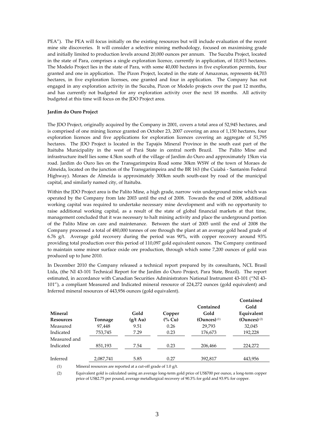PEA"). The PEA will focus initially on the existing resources but will include evaluation of the recent mine site discoveries. It will consider a selective mining methodology, focused on maximising grade and initially limited to production levels around 20,000 ounces per annum. The Sucuba Project, located in the state of Para, comprises a single exploration licence, currently in application, of 10,815 hectares. The Modelo Project lies in the state of Para, with some 40,000 hectares in five exploration permits, four granted and one in application. The Pizon Project, located in the state of Amazonas, represents 44,703 hectares, in five exploration licenses, one granted and four in application. The Company has not engaged in any exploration activity in the Sucuba, Pizon or Modelo projects over the past 12 months, and has currently not budgeted for any exploration activity over the next 18 months. All activity budgeted at this time will focus on the JDO Project area.

#### **Jardim do Ouro Project**

The JDO Project, originally acquired by the Company in 2001, covers a total area of 52,945 hectares, and is comprised of one mining licence granted on October 23, 2007 covering an area of 1,150 hectares, four exploration licences and five applications for exploration licences covering an aggregate of 51,795 hectares. The JDO Project is located in the Tapajós Mineral Province in the south east part of the Itaituba Municipality in the west of Pará State in central north Brazil. The Palito Mine and infrastructure itself lies some 4.5km south of the village of Jardim do Ouro and approximately 15km via road. Jardim do Ouro lies on the Transgarimpeira Road some 30km WSW of the town of Moraes de Almeida, located on the junction of the Transgarimpeira and the BR 163 (the Cuiabá - Santarém Federal Highway). Moraes de Almeida is approximately 300km south south-east by road of the municipal capital, and similarly named city, of Itaituba.

Within the JDO Project area is the Palito Mine, a high grade, narrow vein underground mine which was operated by the Company from late 2003 until the end of 2008. Towards the end of 2008, additional working capital was required to undertake necessary mine development and with no opportunity to raise additional working capital, as a result of the state of global financial markets at that time, management concluded that it was necessary to halt mining activity and place the underground portion of the Palito Mine on care and maintenance. Between the start of 2005 until the end of 2008 the Company processed a total of 480,000 tonnes of ore through the plant at an average gold head grade of 6.76 g/t. Average gold recovery during the period was 90%, with copper recovery around 93% providing total production over this period of 110,097 gold equivalent ounces. The Company continued to maintain some minor surface oxide ore production, through which some 7,200 ounces of gold was produced up to June 2010.

In December 2010 the Company released a technical report prepared by its consultants, NCL Brasil Ltda, (the NI 43-101 Technical Report for the Jardim do Ouro Project, Para State, Brazil). The report estimated, in accordance with Canadian Securities Administrators National Instrument 43-101 ("NI 43- 101"), a compliant Measured and Indicated mineral resource of 224,272 ounces (gold equivalent) and Inferred mineral resources of 443,956 ounces (gold equivalent).

|                  |           |                    |         |                | Contained                 |
|------------------|-----------|--------------------|---------|----------------|---------------------------|
|                  |           |                    |         | Contained      | Gold                      |
| <b>Mineral</b>   |           | Gold               | Copper  | Gold           | Equivalent                |
| <b>Resources</b> | Tonnage   | $(g/t \text{ Au})$ | $(%$ Cu | (Ounces) $(1)$ | $(Qunces)$ <sup>(2)</sup> |
| Measured         | 97,448    | 9.51               | 0.26    | 29,793         | 32,045                    |
| Indicated        | 753,745   | 7.29               | 0.23    | 176,673        | 192,228                   |
| Measured and     |           |                    |         |                |                           |
| Indicated        | 851,193   | 7.54               | 0.23    | 206,466        | 224,272                   |
|                  |           |                    |         |                |                           |
| Inferred         | 2,087,741 | 5.85               | 0.27    | 392,817        | 443,956                   |
|                  |           |                    |         |                |                           |

(1) Mineral resources are reported at a cut-off grade of 1.0 g/t.

(2) Equivalent gold is calculated using an average long-term gold price of US\$700 per ounce, a long-term copper price of US\$2.75 per pound, average metallurgical recovery of 90.3% for gold and 93.9% for copper.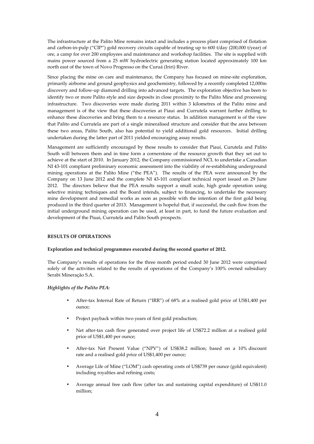The infrastructure at the Palito Mine remains intact and includes a process plant comprised of flotation and carbon-in-pulp ("CIP") gold recovery circuits capable of treating up to 600 t/day (200,000 t/year) of ore, a camp for over 200 employees and maintenance and workshop facilities. The site is supplied with mains power sourced from a 25 mW hydroelectric generating station located approximately 100 km north east of the town of Novo Progresso on the Curuá (Iriri) River.

Since placing the mine on care and maintenance, the Company has focused on mine-site exploration, primarily airborne and ground geophysics and geochemistry, followed by a recently completed 12,000m discovery and follow-up diamond drilling into advanced targets. The exploration objective has been to identify two or more Palito style and size deposits in close proximity to the Palito Mine and processing infrastructure. Two discoveries were made during 2011 within 3 kilometres of the Palito mine and management is of the view that these discoveries at Piaui and Currutela warrant further drilling to enhance these discoveries and bring them to a resource status. In addition management is of the view that Palito and Currutela are part of a single mineralised structure and consider that the area between these two areas, Palito South, also has potential to yield additional gold resources. Initial drilling undertaken during the latter part of 2011 yielded encouraging assay results.

Management are sufficiently encouraged by these results to consider that Piaui, Curutela and Palito South will between them and in time form a cornerstone of the resource growth that they set out to achieve at the start of 2010. In January 2012, the Company commissioned NCL to undertake a Canadian NI 43-101 compliant preliminary economic assessment into the viability of re-establishing underground mining operations at the Palito Mine ("the PEA"). The results of the PEA were announced by the Company on 13 June 2012 and the complete NI 43-101 compliant technical report issued on 29 June 2012. The directors believe that the PEA results support a small scale, high grade operation using selective mining techniques and the Board intends, subject to financing, to undertake the necessary mine development and remedial works as soon as possible with the intention of the first gold being produced in the third quarter of 2013. Management is hopeful that, if successful, the cash flow from the initial underground mining operation can be used, at least in part, to fund the future evaluation and development of the Piuai, Currutela and Palito South prospects.

#### **RESULTS OF OPERATIONS**

#### **Exploration and technical programmes executed during the second quarter of 2012.**

The Company's results of operations for the three month period ended 30 June 2012 were comprised solely of the activities related to the results of operations of the Company's 100% owned subsidiary Serabi Mineraçăo S.A.

#### *Highlights of the Palito PEA:*

- After-tax Internal Rate of Return ("IRR") of 68% at a realised gold price of US\$1,400 per ounce;
- Project payback within two years of first gold production;
- Net after-tax cash flow generated over project life of US\$72.2 million at a realised gold price of US\$1,400 per ounce;
- After-tax Net Present Value ("NPV") of US\$38.2 million; based on a 10% discount rate and a realised gold price of US\$1,400 per ounce;
- Average Life of Mine ("LOM") cash operating costs of US\$739 per ounce (gold equivalent) including royalties and refining costs;
- Average annual free cash flow (after tax and sustaining capital expenditure) of US\$11.0 million;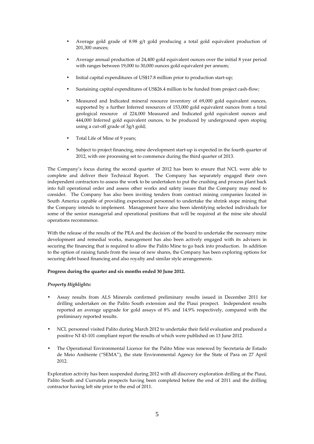- Average gold grade of 8.98 g/t gold producing a total gold equivalent production of 201,300 ounces;
- Average annual production of 24,400 gold equivalent ounces over the initial 8 year period with ranges between 19,000 to 30,000 ounces gold equivalent per annum;
- Initial capital expenditures of US\$17.8 million prior to production start-up;
- Sustaining capital expenditures of US\$26.4 million to be funded from project cash-flow;
- Measured and Indicated mineral resource inventory of 69,000 gold equivalent ounces, supported by a further Inferred resources of 153,000 gold equivalent ounces from a total geological resource of 224,000 Measured and Indicated gold equivalent ounces and 444,000 Inferred gold equivalent ounces, to be produced by underground open stoping using a cut-off grade of 3g/t gold;
- Total Life of Mine of 9 years;
- Subject to project financing, mine development start-up is expected in the fourth quarter of 2012, with ore processing set to commence during the third quarter of 2013.

The Company's focus during the second quarter of 2012 has been to ensure that NCL were able to complete and deliver their Technical Report. The Company has separately engaged their own independent contractors to assess the work to be undertaken to put the crushing and process plant back into full operational order and assess other works and safety issues that the Company may need to consider. The Company has also been inviting tenders from contract mining companies located in South America capable of providing experienced personnel to undertake the shrink stope mining that the Company intends to implement. Management have also been identifying selected individuals for some of the senior managerial and operational positions that will be required at the mine site should operations recommence.

With the release of the results of the PEA and the decision of the board to undertake the necessary mine development and remedial works, management has also been actively engaged with its advisers in securing the financing that is required to allow the Palito Mine to go back into production. In addition to the option of raising funds from the issue of new shares, the Company has been exploring options for securing debt based financing and also royalty and similar style arrangements.

# **Progress during the quarter and six months ended 30 June 2012.**

# *Property Highlights:*

- Assay results from ALS Minerals confirmed preliminary results issued in December 2011 for drilling undertaken on the Palito South extension and the Piaui prospect. Independent results reported an average upgrade for gold assays of 8% and 14.9% respectively, compared with the preliminary reported results.
- NCL personnel visited Palito during March 2012 to undertake their field evaluation and produced a positive NI 43-101 compliant report the results of which were published on 13 June 2012.
- The Operational Environmental Licence for the Palito Mine was renewed by Secretaria de Estado de Meio Ambiente ("SEMA"), the state Environmental Agency for the State of Para on 27 April 2012.

Exploration activity has been suspended during 2012 with all discovery exploration drilling at the Piaui, Palito South and Currutela prospects having been completed before the end of 2011 and the drilling contractor having left site prior to the end of 2011.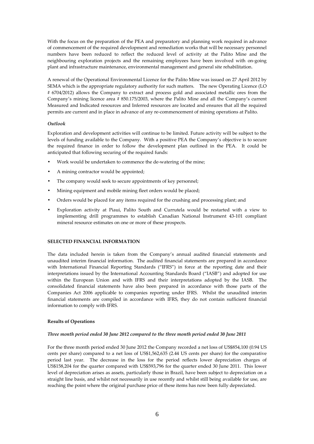With the focus on the preparation of the PEA and preparatory and planning work required in advance of commencement of the required development and remediation works that will be necessary personnel numbers have been reduced to reflect the reduced level of activity at the Palito Mine and the neighbouring exploration projects and the remaining employees have been involved with on-going plant and infrastructure maintenance, environmental management and general site rehabilitation.

A renewal of the Operational Environmental Licence for the Palito Mine was issued on 27 April 2012 by SEMA which is the appropriate regulatory authority for such matters. The new Operating Licence (LO # 6704/2012) allows the Company to extract and process gold and associated metallic ores from the Company's mining licence area # 850.175/2003, where the Palito Mine and all the Company's current Measured and Indicated resources and Inferred resources are located and ensures that all the required permits are current and in place in advance of any re-commencement of mining operations at Palito.

# *Outlook*

Exploration and development activities will continue to be limited. Future activity will be subject to the levels of funding available to the Company. With a positive PEA the Company's objective is to secure the required finance in order to follow the development plan outlined in the PEA. It could be anticipated that following securing of the required funds:

- Work would be undertaken to commence the de-watering of the mine;
- A mining contractor would be appointed;
- The company would seek to secure appointments of key personnel;
- Mining equipment and mobile mining fleet orders would be placed;
- Orders would be placed for any items required for the crushing and processing plant; and
- Exploration activity at Piaui, Palito South and Currutela would be restarted with a view to implementing drill programmes to establish Canadian National Instrument 43-101 compliant mineral resource estimates on one or more of these prospects.

# **SELECTED FINANCIAL INFORMATION**

The data included herein is taken from the Company's annual audited financial statements and unaudited interim financial information. The audited financial statements are prepared in accordance with International Financial Reporting Standards ("IFRS") in force at the reporting date and their interpretations issued by the International Accounting Standards Board ("IASB") and adopted for use within the European Union and with IFRS and their interpretations adopted by the IASB. The consolidated financial statements have also been prepared in accordance with those parts of the Companies Act 2006 applicable to companies reporting under IFRS. Whilst the unaudited interim financial statements are compiled in accordance with IFRS, they do not contain sufficient financial information to comply with IFRS.

#### **Results of Operations**

#### *Three month period ended 30 June 2012 compared to the three month period ended 30 June 2011*

For the three month period ended 30 June 2012 the Company recorded a net loss of US\$854,100 (0.94 US cents per share) compared to a net loss of US\$1,562,635 (2.44 US cents per share) for the comparative period last year. The decrease in the loss for the period reflects lower depreciation charges of US\$158,204 for the quarter compared with US\$593,796 for the quarter ended 30 June 2011. This lower level of depreciation arises as assets, particularly those in Brazil, have been subject to depreciation on a straight line basis, and whilst not necessarily in use recently and whilst still being available for use, are reaching the point where the original purchase price of these items has now been fully depreciated.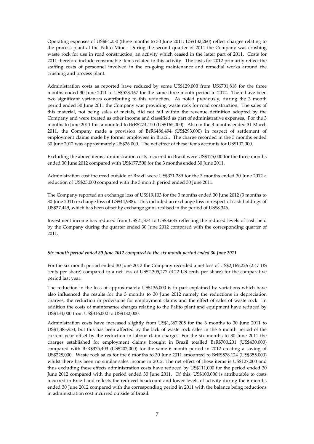Operating expenses of US\$64,250 (three months to 30 June 2011: US\$132,260) reflect charges relating to the process plant at the Palito Mine. During the second quarter of 2011 the Company was crushing waste rock for use in road construction, an activity which ceased in the latter part of 2011. Costs for 2011 therefore include consumable items related to this activity. The costs for 2012 primarily reflect the staffing costs of personnel involved in the on-going maintenance and remedial works around the crushing and process plant.

Administration costs as reported have reduced by some US\$129,000 from US\$701,818 for the three months ended 30 June 2011 to US\$573,167 for the same three month period in 2012. There have been two significant variances contributing to this reduction. As noted previously, during the 3 month period ended 30 June 2011 the Company was providing waste rock for road construction. The sales of this material, not being sales of metals, did not fall within the revenue definition adopted by the Company and were treated as other income and classified as part of administrative expenses. For the 3 months to June 2011 this amounted to BrR\$274,150 (US\$165,000). Also in the 3 months ended 31 March 2011, the Company made a provision of BrR\$486,494 (US\$293,000) in respect of settlement of employment claims made by former employees in Brazil. The charge recorded in the 3 months ended 30 June 2012 was approximately US\$26,000. The net effect of these items accounts for US\$102,000.

Excluding the above items administration costs incurred in Brazil were US\$175,000 for the three months ended 30 June 2012 compared with US\$177,500 for the 3 months ended 30 June 2011.

Administration cost incurred outside of Brazil were US\$371,289 for the 3 months ended 30 June 2012 a reduction of US\$25,000 compared with the 3 month period ended 30 June 2011.

The Company reported an exchange loss of US\$19,103 for the 3 months ended 30 June 2012 (3 months to 30 June 2011; exchange loss of US\$44,988). This included an exchange loss in respect of cash holdings of US\$27,449, which has been offset by exchange gains realised in the period of US\$8,346.

Investment income has reduced from US\$21,374 to US\$3,685 reflecting the reduced levels of cash held by the Company during the quarter ended 30 June 2012 compared with the corresponding quarter of 2011.

#### *Six month period ended 30 June 2012 compared to the six month period ended 30 June 2011*

For the six month period ended 30 June 2012 the Company recorded a net loss of US\$2,169,226 (2.47 US cents per share) compared to a net loss of US\$2,305,277 (4.22 US cents per share) for the comparative period last year.

The reduction in the loss of approximately US\$136,000 is in part explained by variations which have also influenced the results for the 3 months to 30 June 2012 namely the reductions in depreciation charges, the reduction in provisions for employment claims and the effect of sales of waste rock. In addition the costs of maintenance charges relating to the Palito plant and equipment have reduced by US\$134,000 from US\$316,000 to US\$182,000.

Administration costs have increased slightly from US\$1,367,205 for the 6 months to 30 June 2011 to US\$1,383,953, but this has been affected by the lack of waste rock sales in the 6 month period of the current year offset by the reduction in labour claim charges. For the six months to 30 June 2011 the charges established for employment claims brought in Brazil totalled BrR\$700,201 (US\$430,000) compared with BrR\$375,403 (US\$202,000) for the same 6 month period in 2012 creating a saving of US\$228,000. Waste rock sales for the 6 months to 30 June 2011 amounted to BrR\$578,124 (US\$355,000) whilst there has been no similar sales income in 2012. The net effect of these items is US\$127,000 and thus excluding these effects administration costs have reduced by US\$111,000 for the period ended 30 June 2012 compared with the period ended 30 June 2011. Of this, US\$100,000 is attributable to costs incurred in Brazil and reflects the reduced headcount and lower levels of activity during the 6 months ended 30 June 2012 compared with the corresponding period in 2011 with the balance being reductions in administration cost incurred outside of Brazil.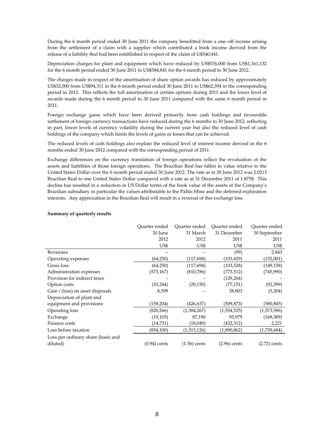During the 6 month period ended 30 June 2011 the company benefitted from a one–off income arising from the settlement of a claim with a supplier which contributed a book income derived from the release of a liability that had been established in respect of the claim of U\$540,441.

Depreciation charges for plant and equipment which have reduced by US\$576,000 from US\$1,161,132 for the 6 month period ended 30 June 2011 to US\$584,841 for the 6 month period to 30 June 2012.

The charges made in respect of the amortisation of share option awards has reduced by approximately US\$32,000 from US\$94,311 in the 6 month period ended 30 June 2011 to US\$62,394 in the corresponding period in 2012. This reflects the full amortisation of certain options during 2011 and the lower level of awards made during the 6 month period to 30 June 2011 compared with the same 6 month period in 2011.

Foreign exchange gains which have been derived primarily from cash holdings and favourable settlement of foreign currency transactions have reduced during the 6 months to 30 June 2012, reflecting in part, lower levels of currency volatility during the current year but also the reduced level of cash holdings of the company which limits the levels of gains or losses that can be achieved.

The reduced levels of cash holdings also explain the reduced level of interest income derived in the 6 months ended 30 June 2012 compared with the corresponding period of 2011.

Exchange differences on the currency translation of foreign operations reflect the revaluation of the assets and liabilities of those foreign operations. The Brazilian Real has fallen in value relative to the United States Dollar over the 6 month period ended 30 June 2012. The rate as at 30 June 2012 was 2.0213 Brazilian Real to one United States Dollar compared with a rate as at 31 December 2011 of 1.8758. This decline has resulted in a reduction in US Dollar terms of the book value of the assets of the Company's Brazilian subsidiary in particular the values attributable to the Palito Mine and the deferred exploration interests. Any appreciation in the Brazilian Real will result in a reversal of this exchange loss.

|                                    | Ouarter ended<br>30 June | Ouarter ended<br>31 March | Ouarter ended<br>31 December | Ouarter ended<br>30 September |
|------------------------------------|--------------------------|---------------------------|------------------------------|-------------------------------|
|                                    | 2012                     | 2012                      | 2011                         | 2011                          |
|                                    | US\$                     | US\$                      | US\$                         | US\$                          |
| Revenues                           |                          |                           | (99)                         | 2,843                         |
| Operating expenses                 | (64,250)                 | (117, 694)                | (103, 429)                   | (152,001)                     |
| Gross loss                         | (64,250)                 | (117, 694)                | (103, 528)                   | (149, 158)                    |
| Administration expenses            | (573, 167)               | (810, 786)                | (773, 512)                   | (745,990)                     |
| Provision for indirect taxes       |                          |                           | (129, 264)                   |                               |
| Option costs                       | (33, 244)                | (29, 150)                 | (77, 151)                    | (92, 399)                     |
| Gain / (loss) on asset disposals   | 8,599                    |                           | 38,803                       | (5,204)                       |
| Depreciation of plant and          |                          |                           |                              |                               |
| equipment and provisions           | (158, 204)               | (426,637)                 | (509,873)                    | (580, 845)                    |
| Operating loss                     | (820, 266)               | (1,384,267)               | (1,554,525)                  | (1,573,596)                   |
| Exchange                           | (19, 103)                | 87,190                    | 95,975                       | (168, 309)                    |
| Finance costs                      | (14,731)                 | (18,049)                  | (432,312)                    | 2,221                         |
| Loss before taxation               | (854, 100)               | (1,315,126)               | (1,890,862)                  | (1,739,684)                   |
| Loss per ordinary share (basic and |                          |                           |                              |                               |
| diluted)                           | $(0.94)$ cents           | $(1.56)$ cents            | (2.96) cents                 | $(2.72)$ cents                |

#### **Summary of quarterly results**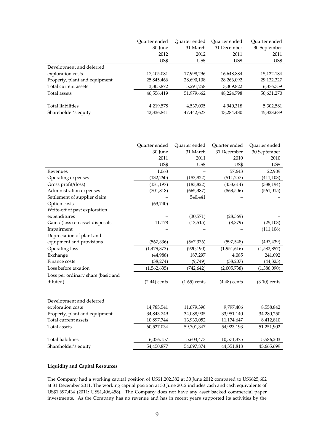|                               | Ouarter ended | Ouarter ended | Ouarter ended | Ouarter ended |
|-------------------------------|---------------|---------------|---------------|---------------|
|                               | 30 June       | 31 March      | 31 December   | 30 September  |
|                               | 2012          | 2012          | 2011          | 2011          |
|                               | US\$          | US\$          | US\$          | US\$          |
| Development and deferred      |               |               |               |               |
| exploration costs             | 17,405,081    | 17,998,296    | 16,648,884    | 15,122,184    |
| Property, plant and equipment | 25,845,466    | 28,690,108    | 28,266,092    | 29,132,327    |
| Total current assets          | 3,305,872     | 5,291,258     | 3,309,822     | 6,376,759     |
| Total assets                  | 46,556,419    | 51,979,662    | 48,224,798    | 50,631,270    |
|                               |               |               |               |               |
| Total liabilities             | 4,219,578     | 4,537,035     | 4,940,318     | 5,302,581     |
| Shareholder's equity          | 42,336,841    | 47,442,627    | 43,284,480    | 45,328,689    |

|                                    | Quarter ended  | Quarter ended  | Quarter ended  | Quarter ended  |
|------------------------------------|----------------|----------------|----------------|----------------|
|                                    | 30 June        | 31 March       | 31 December    | 30 September   |
|                                    | 2011           | 2011           | 2010           | 2010           |
|                                    | US\$           | US\$           | US\$           | US\$           |
| Revenues                           | 1,063          |                | 57,643         | 22,909         |
| Operating expenses                 | (132, 260)     | (183, 822)     | (511, 257)     | (411, 103)     |
| Gross profit/(loss)                | (131, 197)     | (183, 822)     | (453, 614)     | (388, 194)     |
| Administration expenses            | (701, 818)     | (665, 387)     | (863, 506)     | (561, 015)     |
| Settlement of supplier claim       |                | 540,441        |                |                |
| Option costs                       | (63,740)       |                |                |                |
| Write-off of past exploration      |                |                |                |                |
| expenditures                       |                | (30,571)       | (28, 569)      |                |
| Gain / (loss) on asset disposals   | 11,178         | (13, 515)      | (8,379)        | (25, 103)      |
| Impairment                         |                |                |                | (111, 106)     |
| Depreciation of plant and          |                |                |                |                |
| equipment and provisions           | (567, 336)     | (567, 336)     | (597, 548)     | (497, 439)     |
| Operating loss                     | (1, 479, 373)  | (920, 190)     | (1,951,616)    | (1,582,857)    |
| Exchange                           | (44,988)       | 187,297        | 4,085          | 241,092        |
| Finance costs                      | (38, 274)      | (9,749)        | (58, 207)      | (44, 325)      |
| Loss before taxation               | (1,562,635)    | (742, 642)     | (2,005,738)    | (1,386,090)    |
| Loss per ordinary share (basic and |                |                |                |                |
| diluted)                           | $(2.44)$ cents | $(1.65)$ cents | $(4.48)$ cents | $(3.10)$ cents |
|                                    |                |                |                |                |
| Development and deferred           |                |                |                |                |
| exploration costs                  | 14,785,541     | 11,679,390     | 9,797,406      | 8,558,842      |
| Property, plant and equipment      | 34,843,749     | 34,088,905     | 33,951,140     | 34,280,250     |
| Total current assets               | 10,897,744     | 13,933,052     | 11,174,647     | 8,412,810      |
| Total assets                       | 60,527,034     | 59,701,347     | 54,923,193     | 51,251,902     |
| Total liabilities                  | 6,076,157      | 5,603,473      | 10,571,375     | 5,586,203      |
| Shareholder's equity               | 54,450,877     | 54,097,874     | 44,351,818     | 45,665,699     |

# **Liquidity and Capital Resources**

The Company had a working capital position of US\$1,202,382 at 30 June 2012 compared to US\$625,602 at 31 December 2011. The working capital position at 30 June 2012 includes cash and cash equivalents of US\$1,697,434 (2011: US\$1,406,458). The Company does not have any asset backed commercial paper investments. As the Company has no revenue and has in recent years supported its activities by the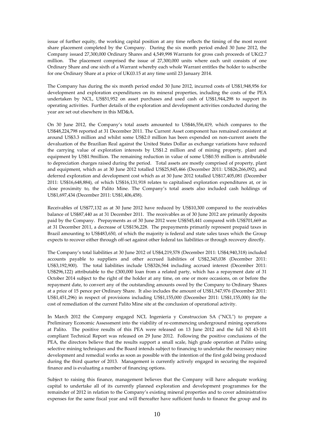issue of further equity, the working capital position at any time reflects the timing of the most recent share placement completed by the Company. During the six month period ended 30 June 2012, the Company issued 27,300,000 Ordinary Shares and 4,549,998 Warrants for gross cash proceeds of UK£2.7 million. The placement comprised the issue of 27,300,000 units where each unit consists of one Ordinary Share and one sixth of a Warrant whereby each whole Warrant entitles the holder to subscribe for one Ordinary Share at a price of UK£0.15 at any time until 23 January 2014.

The Company has during the six month period ended 30 June 2012, incurred costs of US\$1,948,956 for development and exploration expenditures on its mineral properties, including the costs of the PEA undertaken by NCL, US\$51,952 on asset purchases and used cash of US\$1,944,298 to support its operating activities. Further details of the exploration and development activities conducted during the year are set out elsewhere in this MD&A.

On 30 June 2012, the Company's total assets amounted to US\$46,556,419, which compares to the US\$48,224,798 reported at 31 December 2011. The Current Asset component has remained consistent at around US\$3.3 million and whilst some US\$2.0 million has been expended on non-current assets the devaluation of the Brazilian Real against the United States Dollar as exchange variations have reduced the carrying value of exploration interests by US\$1.2 million and of mining property, plant and equipment by US\$1.9million. The remaining reduction in value of some US\$0.55 million is attributable to depreciation charges raised during the period. Total assets are mostly comprised of property, plant and equipment, which as at 30 June 2012 totalled US\$25,845,466 (December 2011: US\$26,266,092), and deferred exploration and development cost which as at 30 June 2012 totalled US\$17,405,081 (December 2011: US\$16,648,884), of which US\$16,131,918 relates to capitalised exploration expenditures at, or in close proximity to, the Palito Mine. The Company's total assets also included cash holdings of US\$1,697,434 (December 2011: US\$1,406,458).

Receivables of US\$77,132 as at 30 June 2012 have reduced by US\$10,300 compared to the receivables balance of US\$87,440 as at 31 December 2011. The receivables as of 30 June 2012 are primarily deposits paid by the Company. Prepayments as of 30 June 2012 were US\$545,441 compared with US\$701,669 as at 31 December 2011, a decrease of US\$156,228. The prepayments primarily represent prepaid taxes in Brazil amounting to US\$483,650, of which the majority is federal and state sales taxes which the Group expects to recover either through off-set against other federal tax liabilities or through recovery directly.

The Company's total liabilities at 30 June 2012 of US\$4,219,578 (December 2011: US\$4,940,318) included accounts payable to suppliers and other accrued liabilities of US\$2,345,038 (December 2011: US\$3,192,900). The total liabilities include US\$326,564 including accrued interest (December 2011: US\$296,122) attributable to the £300,000 loan from a related party, which has a repayment date of 31 October 2014 subject to the right of the holder at any time, on one or more occasions, on or before the repayment date, to convert any of the outstanding amounts owed by the Company to Ordinary Shares at a price of 15 pence per Ordinary Share. It also includes the amount of US\$1,547,976 (December 2011: US\$1,451,296) in respect of provisions including US\$1,155,000 (December 2011: US\$1,155,000) for the cost of remediation of the current Palito Mine site at the conclusion of operational activity.

In March 2012 the Company engaged NCL Ingenieria y Construccion SA ("NCL") to prepare a Preliminary Economic Assessment into the viability of re-commencing underground mining operations at Palito. The positive results of this PEA were released on 13 June 2012 and the full NI 43-101 compliant Technical Report was released on 29 June 2012. Following the positive conclusions of the PEA, the directors believe that the results support a small scale, high grade operation at Palito using selective mining techniques and the Board intends subject to financing to undertake the necessary mine development and remedial works as soon as possible with the intention of the first gold being produced during the third quarter of 2013. Management is currently actively engaged in securing the required finance and is evaluating a number of financing options.

Subject to raising this finance, management believes that the Company will have adequate working capital to undertake all of its currently planned exploration and development programmes for the remainder of 2012 in relation to the Company's existing mineral properties and to cover administrative expenses for the same fiscal year and will thereafter have sufficient funds to finance the group and its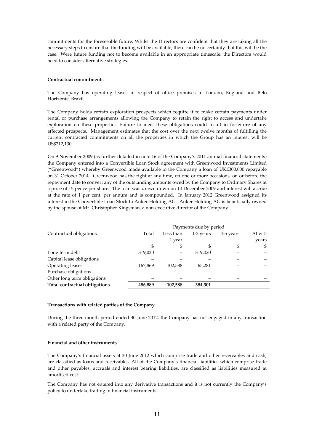commitments for the foreseeable future. Whilst the Directors are confident that they are taking all the necessary steps to ensure that the funding will be available, there can be no certainty that this will be the case. Were future funding not to become available in an appropriate timescale, the Directors would need to consider alternative strategies.

#### **Contractual commitments**

The Company has operating leases in respect of office premises in London, England and Belo Horizonte, Brazil.

The Company holds certain exploration prospects which require it to make certain payments under rental or purchase arrangements allowing the Company to retain the right to access and undertake exploration on these properties. Failure to meet these obligations could result in forfeiture of any affected prospects. Management estimates that the cost over the next twelve months of fulfilling the current contracted commitments on all the properties in which the Group has an interest will be US\$212,130.

On 9 November 2009 (as further detailed in note 16 of the Company's 2011 annual financial statements) the Company entered into a Convertible Loan Stock agreement with Greenwood Investments Limited ("Greenwood") whereby Greenwood made available to the Company a loan of UK£300,000 repayable on 31 October 2014. Greenwood has the right at any time, on one or more occasions, on or before the repayment date to convert any of the outstanding amounts owed by the Company to Ordinary Shares at a price of 15 pence per share. The loan was drawn down on 14 December 2009 and interest will accrue at the rate of 1 per cent. per annum and is compounded. In January 2012 Greenwood assigned its interest in the Convertible Loan Stock to Anker Holding AG. Anker Holding AG is beneficially owned by the spouse of Mr. Christopher Kingsman, a non-executive director of the Company.

|                               |         |           | Payments due by period |           |         |
|-------------------------------|---------|-----------|------------------------|-----------|---------|
| Contractual obligations       | Total   | Less than | 1-3 years              | 4-5 years | After 5 |
|                               |         | 1 year    |                        |           | years   |
|                               | \$      | \$        | S                      | \$        | \$      |
| Long term debt                | 319,020 |           | 319,020                |           |         |
| Capital lease obligations     |         |           |                        |           |         |
| Operating leases              | 167,869 | 102,588   | 65.281                 |           |         |
| Purchase obligations          |         |           |                        |           |         |
| Other long term obligations   |         |           |                        |           |         |
| Total contractual obligations | 486,889 | 102,588   | 384,301                |           |         |

#### **Transactions with related parties of the Company**

During the three month period ended 30 June 2012, the Company has not engaged in any transaction with a related party of the Company.

# **Financial and other instruments**

The Company's financial assets at 30 June 2012 which comprise trade and other receivables and cash, are classified as loans and receivables. All of the Company's financial liabilities which comprise trade and other payables, accruals and interest bearing liabilities, are classified as liabilities measured at amortised cost.

The Company has not entered into any derivative transactions and it is not currently the Company's policy to undertake trading in financial instruments.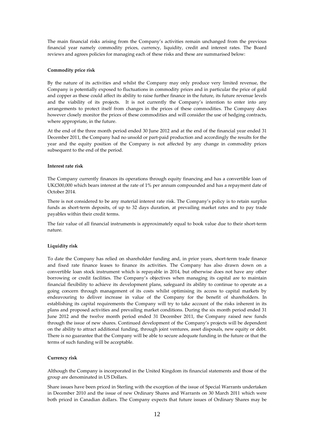The main financial risks arising from the Company's activities remain unchanged from the previous financial year namely commodity prices, currency, liquidity, credit and interest rates. The Board reviews and agrees policies for managing each of these risks and these are summarised below:

#### **Commodity price risk**

By the nature of its activities and whilst the Company may only produce very limited revenue, the Company is potentially exposed to fluctuations in commodity prices and in particular the price of gold and copper as these could affect its ability to raise further finance in the future, its future revenue levels and the viability of its projects. It is not currently the Company's intention to enter into any arrangements to protect itself from changes in the prices of these commodities. The Company does however closely monitor the prices of these commodities and will consider the use of hedging contracts, where appropriate, in the future.

At the end of the three month period ended 30 June 2012 and at the end of the financial year ended 31 December 2011, the Company had no unsold or part-paid production and accordingly the results for the year and the equity position of the Company is not affected by any change in commodity prices subsequent to the end of the period.

#### **Interest rate risk**

The Company currently finances its operations through equity financing and has a convertible loan of UK£300,000 which bears interest at the rate of 1% per annum compounded and has a repayment date of October 2014.

There is not considered to be any material interest rate risk. The Company's policy is to retain surplus funds as short-term deposits, of up to 32 days duration, at prevailing market rates and to pay trade payables within their credit terms.

The fair value of all financial instruments is approximately equal to book value due to their short-term nature.

# **Liquidity risk**

To date the Company has relied on shareholder funding and, in prior years, short-term trade finance and fixed rate finance leases to finance its activities. The Company has also drawn down on a convertible loan stock instrument which is repayable in 2014, but otherwise does not have any other borrowing or credit facilities. The Company's objectives when managing its capital are to maintain financial flexibility to achieve its development plans, safeguard its ability to continue to operate as a going concern through management of its costs whilst optimising its access to capital markets by endeavouring to deliver increase in value of the Company for the benefit of shareholders. In establishing its capital requirements the Company will try to take account of the risks inherent in its plans and proposed activities and prevailing market conditions. During the six month period ended 31 June 2012 and the twelve month period ended 31 December 2011, the Company raised new funds through the issue of new shares. Continued development of the Company's projects will be dependent on the ability to attract additional funding, through joint ventures, asset disposals, new equity or debt. There is no guarantee that the Company will be able to secure adequate funding in the future or that the terms of such funding will be acceptable.

#### **Currency risk**

Although the Company is incorporated in the United Kingdom its financial statements and those of the group are denominated in US Dollars.

Share issues have been priced in Sterling with the exception of the issue of Special Warrants undertaken in December 2010 and the issue of new Ordinary Shares and Warrants on 30 March 2011 which were both priced in Canadian dollars. The Company expects that future issues of Ordinary Shares may be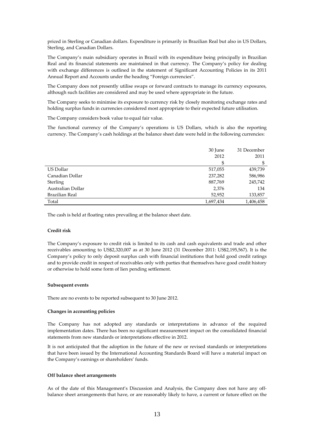priced in Sterling or Canadian dollars. Expenditure is primarily in Brazilian Real but also in US Dollars, Sterling, and Canadian Dollars.

The Company's main subsidiary operates in Brazil with its expenditure being principally in Brazilian Real and its financial statements are maintained in that currency. The Company's policy for dealing with exchange differences is outlined in the statement of Significant Accounting Policies in its 2011 Annual Report and Accounts under the heading "Foreign currencies".

The Company does not presently utilise swaps or forward contracts to manage its currency exposures, although such facilities are considered and may be used where appropriate in the future.

The Company seeks to minimise its exposure to currency risk by closely monitoring exchange rates and holding surplus funds in currencies considered most appropriate to their expected future utilisation.

The Company considers book value to equal fair value.

The functional currency of the Company's operations is US Dollars, which is also the reporting currency. The Company's cash holdings at the balance sheet date were held in the following currencies:

|                   | 30 June   | 31 December |
|-------------------|-----------|-------------|
|                   | 2012      | 2011        |
|                   | \$        | \$          |
| US Dollar         | 517,055   | 439,739     |
| Canadian Dollar   | 237,282   | 586,986     |
| Sterling          | 887,769   | 245,742     |
| Australian Dollar | 2,376     | 134         |
| Brazilian Real    | 52,952    | 133,857     |
| Total             | 1,697,434 | 1,406,458   |

The cash is held at floating rates prevailing at the balance sheet date.

#### **Credit risk**

The Company's exposure to credit risk is limited to its cash and cash equivalents and trade and other receivables amounting to US\$2,320,007 as at 30 June 2012 (31 December 2011: US\$2,195,567). It is the Company's policy to only deposit surplus cash with financial institutions that hold good credit ratings and to provide credit in respect of receivables only with parties that themselves have good credit history or otherwise to hold some form of lien pending settlement.

#### **Subsequent events**

There are no events to be reported subsequent to 30 June 2012.

#### **Changes in accounting policies**

The Company has not adopted any standards or interpretations in advance of the required implementation dates. There has been no significant measurement impact on the consolidated financial statements from new standards or interpretations effective in 2012.

It is not anticipated that the adoption in the future of the new or revised standards or interpretations that have been issued by the International Accounting Standards Board will have a material impact on the Company's earnings or shareholders' funds.

#### **Off balance sheet arrangements**

As of the date of this Management's Discussion and Analysis, the Company does not have any offbalance sheet arrangements that have, or are reasonably likely to have, a current or future effect on the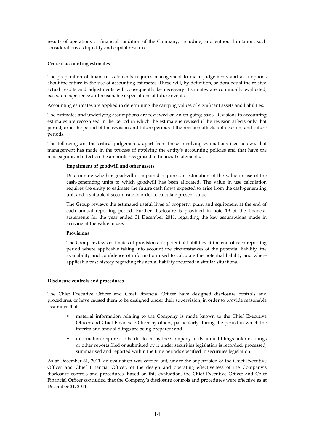results of operations or financial condition of the Company, including, and without limitation, such considerations as liquidity and capital resources.

# **Critical accounting estimates**

The preparation of financial statements requires management to make judgements and assumptions about the future in the use of accounting estimates. These will, by definition, seldom equal the related actual results and adjustments will consequently be necessary. Estimates are continually evaluated, based on experience and reasonable expectations of future events.

Accounting estimates are applied in determining the carrying values of significant assets and liabilities.

The estimates and underlying assumptions are reviewed on an on-going basis. Revisions to accounting estimates are recognised in the period in which the estimate is revised if the revision affects only that period, or in the period of the revision and future periods if the revision affects both current and future periods.

The following are the critical judgements, apart from those involving estimations (see below), that management has made in the process of applying the entity's accounting policies and that have the most significant effect on the amounts recognised in financial statements.

#### **Impairment of goodwill and other assets**

Determining whether goodwill is impaired requires an estimation of the value in use of the cash-generating units to which goodwill has been allocated. The value in use calculation requires the entity to estimate the future cash flows expected to arise from the cash-generating unit and a suitable discount rate in order to calculate present value.

The Group reviews the estimated useful lives of property, plant and equipment at the end of each annual reporting period. Further disclosure is provided in note 19 of the financial statements for the year ended 31 December 2011, regarding the key assumptions made in arriving at the value in use.

#### **Provisions**

The Group reviews estimates of provisions for potential liabilities at the end of each reporting period where applicable taking into account the circumstances of the potential liability, the availability and confidence of information used to calculate the potential liability and where applicable past history regarding the actual liability incurred in similar situations.

#### **Disclosure controls and procedures**

The Chief Executive Officer and Chief Financial Officer have designed disclosure controls and procedures, or have caused them to be designed under their supervision, in order to provide reasonable assurance that:

- material information relating to the Company is made known to the Chief Executive Officer and Chief Financial Officer by others, particularly during the period in which the interim and annual filings are being prepared; and
- information required to be disclosed by the Company in its annual filings, interim filings or other reports filed or submitted by it under securities legislation is recorded, processed, summarised and reported within the time periods specified in securities legislation.

As at December 31, 2011, an evaluation was carried out, under the supervision of the Chief Executive Officer and Chief Financial Officer, of the design and operating effectiveness of the Company's disclosure controls and procedures. Based on this evaluation, the Chief Executive Officer and Chief Financial Officer concluded that the Company's disclosure controls and procedures were effective as at December 31, 2011.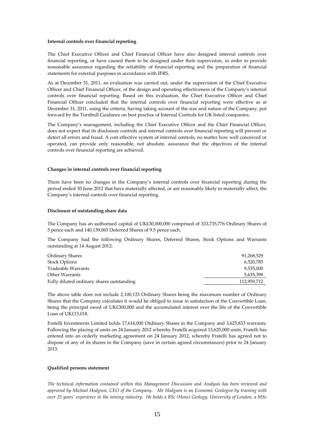#### **Internal controls over financial reporting**

The Chief Executive Officer and Chief Financial Officer have also designed internal controls over financial reporting, or have caused them to be designed under their supervision, in order to provide reasonable assurance regarding the reliability of financial reporting and the preparation of financial statements for external purposes in accordance with IFRS.

As at December 31, 2011, an evaluation was carried out, under the supervision of the Chief Executive Officer and Chief Financial Officer, of the design and operating effectiveness of the Company's internal controls over financial reporting. Based on this evaluation, the Chief Executive Officer and Chief Financial Officer concluded that the internal controls over financial reporting were effective as at December 31, 2011, using the criteria, having taking account of the size and nature of the Company, put forward by the Turnbull Guidance on best practice of Internal Controls for UK listed companies.

The Company's management, including the Chief Executive Officer and the Chief Financial Officer, does not expect that its disclosure controls and internal controls over financial reporting will prevent or detect all errors and fraud. A cost effective system of internal controls, no matter how well conceived or operated, can provide only reasonable, not absolute, assurance that the objectives of the internal controls over financial reporting are achieved.

#### **Changes in internal controls over financial reporting**

There have been no changes in the Company's internal controls over financial reporting during the period ended 30 June 2012 that have materially affected, or are reasonably likely to materially affect, the Company's internal controls over financial reporting.

#### **Disclosure of outstanding share data**

The Company has an authorised capital of UK£30,000,000 comprised of 333,735,776 Ordinary Shares of 5 pence each and 140,139,065 Deferred Shares of 9.5 pence each.

The Company had the following Ordinary Shares, Deferred Shares, Stock Options and Warrants outstanding at 14 August 2012:

| Ordinary Shares                           | 91,268,529  |
|-------------------------------------------|-------------|
| <b>Stock Options</b>                      | 6,520,785   |
| Tradeable Warrants                        | 9.535.000   |
| Other Warrants                            | 5,635,398   |
| Fully diluted ordinary shares outstanding | 112,959,712 |

The above table does not include 2,100,123 Ordinary Shares being the maximum number of Ordinary Shares that the Company calculates it would be obliged to issue in satisfaction of the Convertible Loan, being the principal owed of UK£300,000 and the accumulated interest over the life of the Convertible Loan of UK£15,018.

Fratelli Investments Limited holds 17,616,000 Ordinary Shares in the Company and 3,625,833 warrants. Following the placing of units on 24 January 2012 whereby Fratelli acquired 13,625,000 units, Fratelli has entered into an orderly marketing agreement on 24 January 2012, whereby Fratelli has agreed not to dispose of any of its shares in the Company (save in certain agreed circumstances) prior to 24 January 2013.

#### **Qualified persons statement**

*The technical information contained within this Management Discussion and Analysis has been reviewed and approved by Michael Hodgson, CEO of the Company. Mr Hodgson is an Economic Geologist by training with over 25 years' experience in the mining industry. He holds a BSc (Hons) Geology, University of London, a MSc*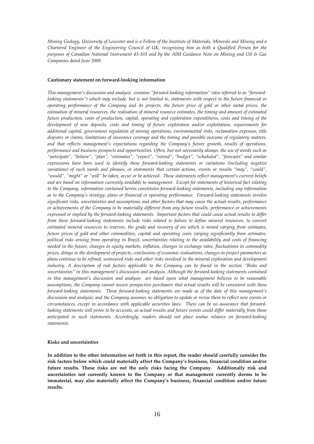*Mining Geology, University of Leicester and is a Fellow of the Institute of Materials, Minerals and Mining and a Chartered Engineer of the Engineering Council of UK, recognising him as both a Qualified Person for the purposes of Canadian National Instrument 43-101 and by the AIM Guidance Note on Mining and Oil & Gas Companies dated June 2009.* 

#### **Cautionary statement on forward-looking information**

*This management's discussion and analysis contains "forward-looking information" (also referred to as "forwardlooking statements"*) which may include, but is not limited to, statements with respect to the future financial or *operating performance of the Company and its projects, the future price of gold or other metal prices, the estimation of mineral resources, the realisation of mineral resource estimates, the timing and amount of estimated future production, costs of production, capital, operating and exploration expenditures, costs and timing of the development of new deposits, costs and timing of future exploration and/or exploitation, requirements for additional capital, government regulation of mining operations, environmental risks, reclamation expenses, title disputes or claims, limitations of insurance coverage and the timing and possible outcome of regulatory matters, and that reflects management's expectations regarding the Company's future growth, results of operations, performance and business prospects and opportunities. Often, but not necessarily always, the use of words such as "anticipate", "believe", "plan", "estimates", "expect", "intend", "budget", "scheduled", "forecasts" and similar expressions have been used to identify these forward-looking statements or variations (including negative variations) of such words and phrases, or statements that certain actions, events or results "may", "could", "would", "might" or "will" be taken, occur or be achieved. These statements reflect management's current beliefs and are based on information currently available to management. Except for statements of historical fact relating to the Company, information contained herein constitutes forward-looking statements, including any information as to the Company's strategy, plans or financial or operating performance. Forward-looking statements involve significant risks, uncertainties and assumptions and other factors that may cause the actual results, performance or achievements of the Company to be materially different from any future results, performance or achievements expressed or implied by the forward-looking statements. Important factors that could cause actual results to differ from these forward-looking statements include risks related to failure to define mineral resources, to convert estimated mineral resources to reserves, the grade and recovery of ore which is mined varying from estimates, future prices of gold and other commodities, capital and operating costs varying significantly from estimates, political risks arising from operating in Brazil, uncertainties relating to the availability and costs of financing needed in the future, changes in equity markets, inflation, changes in exchange rates, fluctuations in commodity prices, delays in the development of projects, conclusions of economic evaluations, changes in project parameters as plans continue to be refined, uninsured risks and other risks involved in the mineral exploration and development industry. A description of risk factors applicable to the Company can be found in the section "Risks and uncertainties" in this management's discussion and analysis. Although the forward-looking statements contained in this management's discussion and analysis are based upon what management believes to be reasonable assumptions, the Company cannot assure prospective purchasers that actual results will be consistent with these forward-looking statements. These forward-looking statements are made as of the date of this management's discussion and analysis, and the Company assumes no obligation to update or revise them to reflect new events or circumstances, except in accordance with applicable securities laws. There can be no assurance that forwardlooking statements will prove to be accurate, as actual results and future events could differ materially from those anticipated in such statements. Accordingly, readers should not place undue reliance on forward-looking statements.*

#### **Risks and uncertainties**

**In addition to the other information set forth in this report, the reader should carefully consider the risk factors below which could materially affect the Company's business, financial condition and/or future results. These risks are not the only risks facing the Company. Additionally risk and uncertainties not currently known to the Company or that management currently deems to be immaterial, may also materially affect the Company's business, financial condition and/or future results.**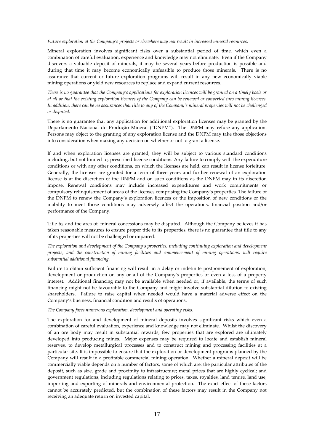#### *Future exploration at the Company's projects or elsewhere may not result in increased mineral resources.*

Mineral exploration involves significant risks over a substantial period of time, which even a combination of careful evaluation, experience and knowledge may not eliminate. Even if the Company discovers a valuable deposit of minerals, it may be several years before production is possible and during that time it may become economically unfeasible to produce those minerals. There is no assurance that current or future exploration programs will result in any new economically viable mining operations or yield new resources to replace and expand current resources.

*There is no guarantee that the Company's applications for exploration licences will be granted on a timely basis or at all or that the existing exploration licences of the Company can be renewed or converted into mining licences. In addition, there can be no assurances that title to any of the Company's mineral properties will not be challenged or disputed.* 

There is no guarantee that any application for additional exploration licenses may be granted by the Departamento Nacional do Produçăo Mineral ("DNPM"). The DNPM may refuse any application. Persons may object to the granting of any exploration license and the DNPM may take those objections into consideration when making any decision on whether or not to grant a license.

If and when exploration licenses are granted, they will be subject to various standard conditions including, but not limited to, prescribed license conditions. Any failure to comply with the expenditure conditions or with any other conditions, on which the licenses are held, can result in license forfeiture. Generally, the licenses are granted for a term of three years and further renewal of an exploration license is at the discretion of the DNPM and on such conditions as the DNPM may in its discretion impose. Renewal conditions may include increased expenditures and work commitments or compulsory relinquishment of areas of the licenses comprising the Company's properties. The failure of the DNPM to renew the Company's exploration licences or the imposition of new conditions or the inability to meet those conditions may adversely affect the operations, financial position and/or performance of the Company.

Title to, and the area of, mineral concessions may be disputed. Although the Company believes it has taken reasonable measures to ensure proper title to its properties, there is no guarantee that title to any of its properties will not be challenged or impaired.

*The exploration and development of the Company's properties, including continuing exploration and development projects, and the construction of mining facilities and commencement of mining operations, will require substantial additional financing.* 

Failure to obtain sufficient financing will result in a delay or indefinite postponement of exploration, development or production on any or all of the Company's properties or even a loss of a property interest. Additional financing may not be available when needed or, if available, the terms of such financing might not be favourable to the Company and might involve substantial dilution to existing shareholders. Failure to raise capital when needed would have a material adverse effect on the Company's business, financial condition and results of operations.

#### *The Company faces numerous exploration, development and operating risks.*

The exploration for and development of mineral deposits involves significant risks which even a combination of careful evaluation, experience and knowledge may not eliminate. Whilst the discovery of an ore body may result in substantial rewards, few properties that are explored are ultimately developed into producing mines. Major expenses may be required to locate and establish mineral reserves, to develop metallurgical processes and to construct mining and processing facilities at a particular site. It is impossible to ensure that the exploration or development programs planned by the Company will result in a profitable commercial mining operation. Whether a mineral deposit will be commercially viable depends on a number of factors, some of which are: the particular attributes of the deposit, such as size, grade and proximity to infrastructure; metal prices that are highly cyclical; and government regulations, including regulations relating to prices, taxes, royalties, land tenure, land use, importing and exporting of minerals and environmental protection. The exact effect of these factors cannot be accurately predicted, but the combination of these factors may result in the Company not receiving an adequate return on invested capital.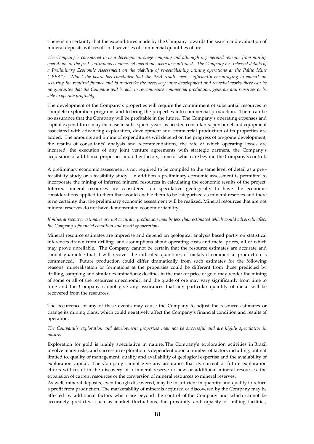There is no certainty that the expenditures made by the Company towards the search and evaluation of mineral deposits will result in discoveries of commercial quantities of ore.

*The Company is considered to be a development stage company and although it generated revenue from mining operations in the past continuous commercial operations were discontinued. The Company has released details of a Preliminary Economic Assessment on the viability of re-establishing mining operations at the Palito Mine ("PEA"). Whilst the board has concluded that the PEA results were sufficiently encouraging to embark on securing the required finance and to undertake the necessary mine development and remedial works there can be no guarantee that the Company will be able to re-commence commercial production, generate any revenues or be able to operate profitably.* 

The development of the Company's properties will require the commitment of substantial resources to complete exploration programs and to bring the properties into commercial production. There can be no assurance that the Company will be profitable in the future. The Company's operating expenses and capital expenditures may increase in subsequent years as needed consultants, personnel and equipment associated with advancing exploration, development and commercial production of its properties are added. The amounts and timing of expenditures will depend on the progress of on-going development, the results of consultants' analysis and recommendations, the rate at which operating losses are incurred, the execution of any joint venture agreements with strategic partners, the Company's acquisition of additional properties and other factors, some of which are beyond the Company's control.

A preliminary economic assessment is not required to be compiled to the same level of detail as a pre feasibility study or a feasibility study. In addition a preliminary economic assessment is permitted to incorporate the mining of inferred mineral resources in calculating the economic results of the project. Inferred mineral resources are considered too speculative geologically to have the economic considerations applied to them that would enable them to be categorized as mineral reserves and there is no certainty that the preliminary economic assessment will be realized. Mineral resources that are not mineral reserves do not have demonstrated economic viability.

## *If mineral resource estimates are not accurate, production may be less than estimated which would adversely affect the Company's financial condition and result of operations.*

Mineral resource estimates are imprecise and depend on geological analysis based partly on statistical inferences drawn from drilling, and assumptions about operating costs and metal prices, all of which may prove unreliable. The Company cannot be certain that the resource estimates are accurate and cannot guarantee that it will recover the indicated quantities of metals if commercial production is commenced. Future production could differ dramatically from such estimates for the following reasons: mineralisation or formations at the properties could be different from those predicted by drilling, sampling and similar examinations; declines in the market price of gold may render the mining of some or all of the resources uneconomic; and the grade of ore may vary significantly from time to time and the Company cannot give any assurances that any particular quantity of metal will be recovered from the resources.

The occurrence of any of these events may cause the Company to adjust the resource estimates or change its mining plans, which could negatively affect the Company's financial condition and results of operation.

# *The Company's exploration and development properties may not be successful and are highly speculative in nature.*

Exploration for gold is highly speculative in nature. The Company's exploration activities in Brazil involve many risks, and success in exploration is dependent upon a number of factors including, but not limited to, quality of management, quality and availability of geological expertise and the availability of exploration capital. The Company cannot give any assurance that its current or future exploration efforts will result in the discovery of a mineral reserve or new or additional mineral resources, the expansion of current resources or the conversion of mineral resources to mineral reserves.

As well, mineral deposits, even though discovered, may be insufficient in quantity and quality to return a profit from production. The marketability of minerals acquired or discovered by the Company may be affected by additional factors which are beyond the control of the Company and which cannot be accurately predicted, such as market fluctuations, the proximity and capacity of milling facilities,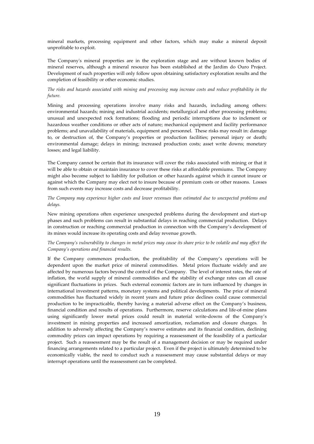mineral markets, processing equipment and other factors, which may make a mineral deposit unprofitable to exploit.

The Company's mineral properties are in the exploration stage and are without known bodies of mineral reserves, although a mineral resource has been established at the Jardim do Ouro Project. Development of such properties will only follow upon obtaining satisfactory exploration results and the completion of feasibility or other economic studies.

*The risks and hazards associated with mining and processing may increase costs and reduce profitability in the future.* 

Mining and processing operations involve many risks and hazards, including among others: environmental hazards; mining and industrial accidents; metallurgical and other processing problems; unusual and unexpected rock formations; flooding and periodic interruptions due to inclement or hazardous weather conditions or other acts of nature; mechanical equipment and facility performance problems; and unavailability of materials, equipment and personnel. These risks may result in: damage to, or destruction of, the Company's properties or production facilities; personal injury or death; environmental damage; delays in mining; increased production costs; asset write downs; monetary losses; and legal liability.

The Company cannot be certain that its insurance will cover the risks associated with mining or that it will be able to obtain or maintain insurance to cover these risks at affordable premiums. The Company might also become subject to liability for pollution or other hazards against which it cannot insure or against which the Company may elect not to insure because of premium costs or other reasons. Losses from such events may increase costs and decrease profitability.

*The Company may experience higher costs and lower revenues than estimated due to unexpected problems and delays.* 

New mining operations often experience unexpected problems during the development and start-up phases and such problems can result in substantial delays in reaching commercial production. Delays in construction or reaching commercial production in connection with the Company's development of its mines would increase its operating costs and delay revenue growth.

*The Company's vulnerability to changes in metal prices may cause its share price to be volatile and may affect the Company's operations and financial results.* 

If the Company commences production, the profitability of the Company's operations will be dependent upon the market price of mineral commodities. Metal prices fluctuate widely and are affected by numerous factors beyond the control of the Company. The level of interest rates, the rate of inflation, the world supply of mineral commodities and the stability of exchange rates can all cause significant fluctuations in prices. Such external economic factors are in turn influenced by changes in international investment patterns, monetary systems and political developments. The price of mineral commodities has fluctuated widely in recent years and future price declines could cause commercial production to be impracticable, thereby having a material adverse effect on the Company's business, financial condition and results of operations. Furthermore, reserve calculations and life-of-mine plans using significantly lower metal prices could result in material write-downs of the Company's investment in mining properties and increased amortization, reclamation and closure charges. In addition to adversely affecting the Company's reserve estimates and its financial condition, declining commodity prices can impact operations by requiring a reassessment of the feasibility of a particular project. Such a reassessment may be the result of a management decision or may be required under financing arrangements related to a particular project. Even if the project is ultimately determined to be economically viable, the need to conduct such a reassessment may cause substantial delays or may interrupt operations until the reassessment can be completed.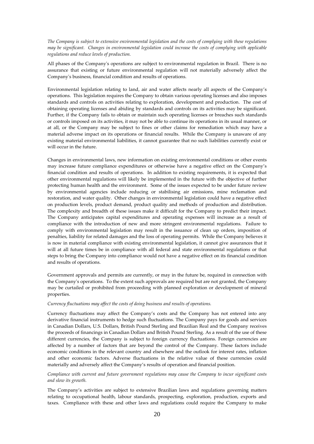*The Company is subject to extensive environmental legislation and the costs of complying with these regulations may be significant. Changes in environmental legislation could increase the costs of complying with applicable regulations and reduce levels of production.* 

All phases of the Company's operations are subject to environmental regulation in Brazil. There is no assurance that existing or future environmental regulation will not materially adversely affect the Company's business, financial condition and results of operations.

Environmental legislation relating to land, air and water affects nearly all aspects of the Company's operations. This legislation requires the Company to obtain various operating licenses and also imposes standards and controls on activities relating to exploration, development and production. The cost of obtaining operating licenses and abiding by standards and controls on its activities may be significant. Further, if the Company fails to obtain or maintain such operating licenses or breaches such standards or controls imposed on its activities, it may not be able to continue its operations in its usual manner, or at all, or the Company may be subject to fines or other claims for remediation which may have a material adverse impact on its operations or financial results. While the Company is unaware of any existing material environmental liabilities, it cannot guarantee that no such liabilities currently exist or will occur in the future.

Changes in environmental laws, new information on existing environmental conditions or other events may increase future compliance expenditures or otherwise have a negative effect on the Company's financial condition and results of operations. In addition to existing requirements, it is expected that other environmental regulations will likely be implemented in the future with the objective of further protecting human health and the environment. Some of the issues expected to be under future review by environmental agencies include reducing or stabilising air emissions, mine reclamation and restoration, and water quality. Other changes in environmental legislation could have a negative effect on production levels, product demand, product quality and methods of production and distribution. The complexity and breadth of these issues make it difficult for the Company to predict their impact. The Company anticipates capital expenditures and operating expenses will increase as a result of compliance with the introduction of new and more stringent environmental regulations. Failure to comply with environmental legislation may result in the issuance of clean up orders, imposition of penalties, liability for related damages and the loss of operating permits. While the Company believes it is now in material compliance with existing environmental legislation, it cannot give assurances that it will at all future times be in compliance with all federal and state environmental regulations or that steps to bring the Company into compliance would not have a negative effect on its financial condition and results of operations.

Government approvals and permits are currently, or may in the future be, required in connection with the Company's operations. To the extent such approvals are required but are not granted, the Company may be curtailed or prohibited from proceeding with planned exploration or development of mineral properties.

#### *Currency fluctuations may affect the costs of doing business and results of operations.*

Currency fluctuations may affect the Company's costs and the Company has not entered into any derivative financial instruments to hedge such fluctuations. The Company pays for goods and services in Canadian Dollars, U.S. Dollars, British Pound Sterling and Brazilian Real and the Company receives the proceeds of financings in Canadian Dollars and British Pound Sterling. As a result of the use of these different currencies, the Company is subject to foreign currency fluctuations. Foreign currencies are affected by a number of factors that are beyond the control of the Company. These factors include economic conditions in the relevant country and elsewhere and the outlook for interest rates, inflation and other economic factors. Adverse fluctuations in the relative value of these currencies could materially and adversely affect the Company's results of operation and financial position.

# *Compliance with current and future government regulations may cause the Company to incur significant costs and slow its growth.*

The Company's activities are subject to extensive Brazilian laws and regulations governing matters relating to occupational health, labour standards, prospecting, exploration, production, exports and taxes. Compliance with these and other laws and regulations could require the Company to make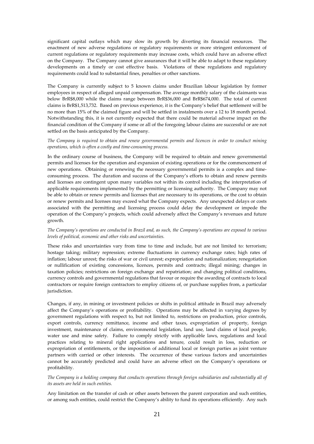significant capital outlays which may slow its growth by diverting its financial resources. The enactment of new adverse regulations or regulatory requirements or more stringent enforcement of current regulations or regulatory requirements may increase costs, which could have an adverse effect on the Company. The Company cannot give assurances that it will be able to adapt to these regulatory developments on a timely or cost effective basis. Violations of these regulations and regulatory requirements could lead to substantial fines, penalties or other sanctions.

The Company is currently subject to 5 known claims under Brazilian labour legislation by former employees in respect of alleged unpaid compensation. The average monthly salary of the claimants was below BrR\$8,000 while the claims range between BrR\$36,000 and BrR\$674,000. The total of current claims is BrR\$1,513,732. Based on previous experience, it is the Company's belief that settlement will be no more than 15% of the claimed figure and will be settled in instalments over a 12 to 18 month period. Notwithstanding this, it is not currently expected that there could be material adverse impact on the financial condition of the Company if some or all of the foregoing labour claims are successful or are not settled on the basis anticipated by the Company.

# *The Company is required to obtain and renew governmental permits and licences in order to conduct mining operations, which is often a costly and time-consuming process.*

In the ordinary course of business, the Company will be required to obtain and renew governmental permits and licenses for the operation and expansion of existing operations or for the commencement of new operations. Obtaining or renewing the necessary governmental permits is a complex and timeconsuming process. The duration and success of the Company's efforts to obtain and renew permits and licenses are contingent upon many variables not within its control including the interpretation of applicable requirements implemented by the permitting or licensing authority. The Company may not be able to obtain or renew permits and licenses that are necessary to its operations, or the cost to obtain or renew permits and licenses may exceed what the Company expects. Any unexpected delays or costs associated with the permitting and licensing process could delay the development or impede the operation of the Company's projects, which could adversely affect the Company's revenues and future growth.

# *The Company's operations are conducted in Brazil and, as such, the Company's operations are exposed to various levels of political, economic and other risks and uncertainties.*

These risks and uncertainties vary from time to time and include, but are not limited to: terrorism; hostage taking; military repression; extreme fluctuations in currency exchange rates; high rates of inflation; labour unrest; the risks of war or civil unrest; expropriation and nationalization; renegotiation or nullification of existing concessions, licences, permits and contracts; illegal mining; changes in taxation policies; restrictions on foreign exchange and repatriation; and changing political conditions, currency controls and governmental regulations that favour or require the awarding of contracts to local contractors or require foreign contractors to employ citizens of, or purchase supplies from, a particular jurisdiction.

Changes, if any, in mining or investment policies or shifts in political attitude in Brazil may adversely affect the Company's operations or profitability. Operations may be affected in varying degrees by government regulations with respect to, but not limited to, restrictions on production, price controls, export controls, currency remittance, income and other taxes, expropriation of property, foreign investment, maintenance of claims, environmental legislation, land use, land claims of local people, water use and mine safety. Failure to comply strictly with applicable laws, regulations and local practices relating to mineral right applications and tenure, could result in loss, reduction or expropriation of entitlements, or the imposition of additional local or foreign parties as joint venture partners with carried or other interests. The occurrence of these various factors and uncertainties cannot be accurately predicted and could have an adverse effect on the Company's operations or profitability.

# *The Company is a holding company that conducts operations through foreign subsidiaries and substantially all of its assets are held in such entities.*

Any limitation on the transfer of cash or other assets between the parent corporation and such entities, or among such entities, could restrict the Company's ability to fund its operations efficiently. Any such